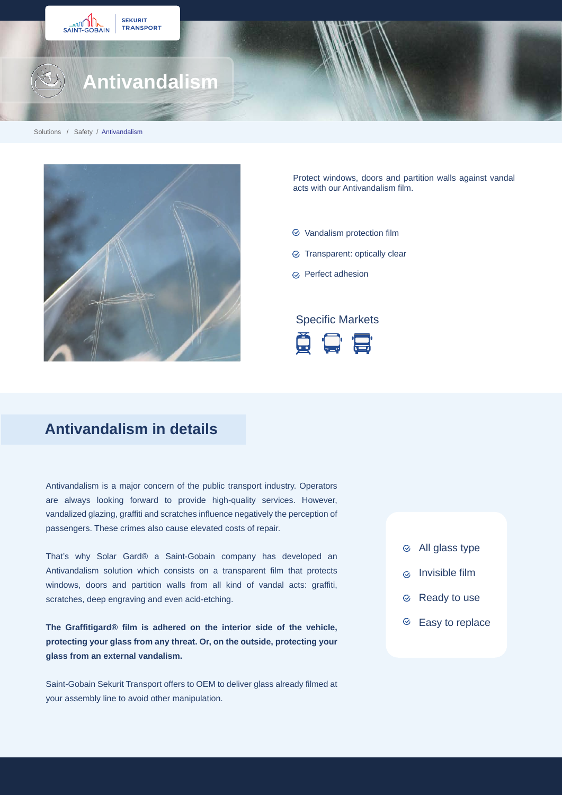



Protect windows, doors and partition walls against vandal acts with our Antivandalism film.

- $\heartsuit$  Vandalism protection film
- G Transparent: optically clear
- G Perfect adhesion

#### Specific Markets



## **Antivandalism in details**

Antivandalism is a major concern of the public transport industry. Operators are always looking forward to provide high-quality services. However, vandalized glazing, graffiti and scratches influence negatively the perception of passengers. These crimes also cause elevated costs of repair.

That's why Solar Gard® a Saint-Gobain company has developed an Antivandalism solution which consists on a transparent film that protects windows, doors and partition walls from all kind of vandal acts: graffiti, scratches, deep engraving and even acid-etching.

**The Graffitigard® film is adhered on the interior side of the vehicle, protecting your glass from any threat. Or, on the outside, protecting your glass from an external vandalism.**

Saint-Gobain Sekurit Transport offers to OEM to deliver glass already filmed at your assembly line to avoid other manipulation.

- All glass type
- Invisible film  $\odot$
- Ready to use
- $\odot$  Easy to replace